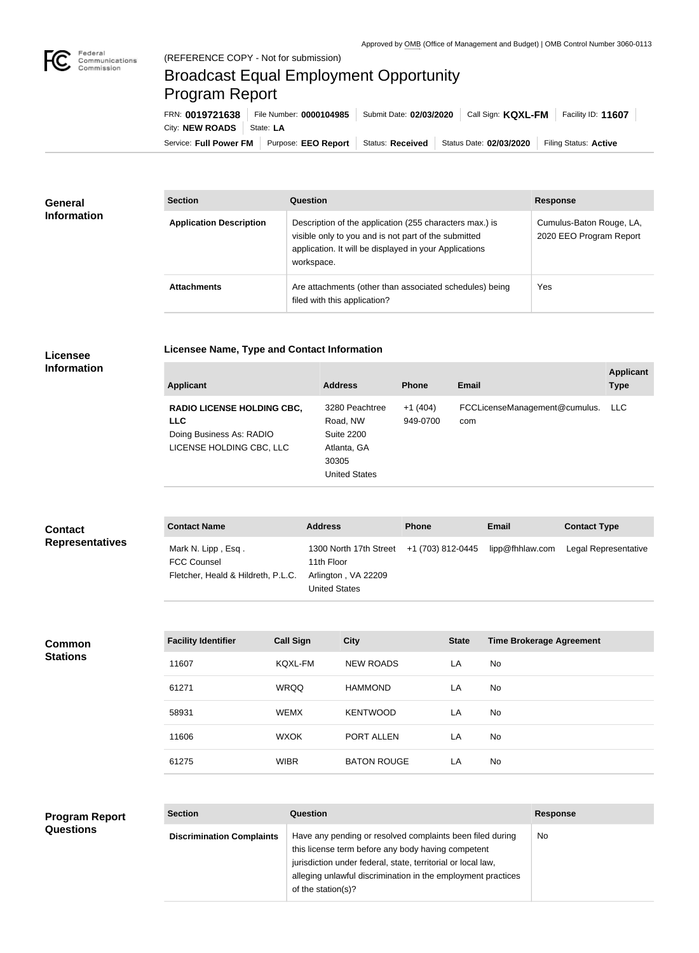

## Broadcast Equal Employment Opportunity Program Report

**Licensee Name, Type and Contact Information**

Service: Full Power FM Purpose: EEO Report | Status: Received | Status Date: 02/03/2020 | Filing Status: Active City: **NEW ROADS** | State: LA FRN: **0019721638** File Number: **0000104985** Submit Date: **02/03/2020** Call Sign: **KQXL-FM** Facility ID: **11607**

| General<br><b>Information</b> | <b>Section</b>                 | Question                                                                                                                                                                                | <b>Response</b>                                     |  |
|-------------------------------|--------------------------------|-----------------------------------------------------------------------------------------------------------------------------------------------------------------------------------------|-----------------------------------------------------|--|
|                               | <b>Application Description</b> | Description of the application (255 characters max.) is<br>visible only to you and is not part of the submitted<br>application. It will be displayed in your Applications<br>workspace. | Cumulus-Baton Rouge, LA,<br>2020 EEO Program Report |  |
|                               | <b>Attachments</b>             | Are attachments (other than associated schedules) being<br>filed with this application?                                                                                                 | Yes                                                 |  |

## **Licensee Information**

| <b>Applicant</b>                                                                                        | <b>Address</b>                                                                                  | <b>Phone</b>          | <b>Email</b>                         | <b>Applicant</b><br><b>Type</b> |
|---------------------------------------------------------------------------------------------------------|-------------------------------------------------------------------------------------------------|-----------------------|--------------------------------------|---------------------------------|
| <b>RADIO LICENSE HOLDING CBC,</b><br><b>LLC</b><br>Doing Business As: RADIO<br>LICENSE HOLDING CBC, LLC | 3280 Peachtree<br>Road, NW<br><b>Suite 2200</b><br>Atlanta, GA<br>30305<br><b>United States</b> | $+1(404)$<br>949-0700 | FCCLicenseManagement@cumulus.<br>com | LLC.                            |

| <b>Contact</b><br><b>Representatives</b> | <b>Contact Name</b>                                                            |                  | <b>Address</b>                                                                      |                  | <b>Phone</b>      |              | <b>Email</b>                    | <b>Contact Type</b>  |
|------------------------------------------|--------------------------------------------------------------------------------|------------------|-------------------------------------------------------------------------------------|------------------|-------------------|--------------|---------------------------------|----------------------|
|                                          | Mark N. Lipp, Esq.<br><b>FCC Counsel</b><br>Fletcher, Heald & Hildreth, P.L.C. |                  | 1300 North 17th Street<br>11th Floor<br>Arlington, VA 22209<br><b>United States</b> |                  | +1 (703) 812-0445 |              | lipp@fhhlaw.com                 | Legal Representative |
|                                          |                                                                                |                  |                                                                                     |                  |                   |              |                                 |                      |
| <b>Common</b><br><b>Stations</b>         | <b>Facility Identifier</b>                                                     | <b>Call Sign</b> |                                                                                     | <b>City</b>      |                   | <b>State</b> | <b>Time Brokerage Agreement</b> |                      |
|                                          | 11607                                                                          | KQXL-FM          |                                                                                     | <b>NEW ROADS</b> |                   | LA           | No                              |                      |
|                                          | 61271                                                                          | <b>WRQQ</b>      |                                                                                     | <b>HAMMOND</b>   |                   | LA           | No                              |                      |
|                                          | 58931                                                                          | <b>WEMX</b>      |                                                                                     | <b>KENTWOOD</b>  |                   | LA           | No                              |                      |
|                                          |                                                                                |                  |                                                                                     |                  |                   |              |                                 |                      |

11606 WXOK PORT ALLEN LA No

61275 WIBR BATON ROUGE LA No

| <b>Program Report</b><br><b>Questions</b> | <b>Section</b>                   | <b>Question</b>                                                                                                                                                                                                                                                       | <b>Response</b> |
|-------------------------------------------|----------------------------------|-----------------------------------------------------------------------------------------------------------------------------------------------------------------------------------------------------------------------------------------------------------------------|-----------------|
|                                           | <b>Discrimination Complaints</b> | Have any pending or resolved complaints been filed during<br>this license term before any body having competent<br>jurisdiction under federal, state, territorial or local law,<br>alleging unlawful discrimination in the employment practices<br>of the station(s)? | <b>No</b>       |
|                                           |                                  |                                                                                                                                                                                                                                                                       |                 |